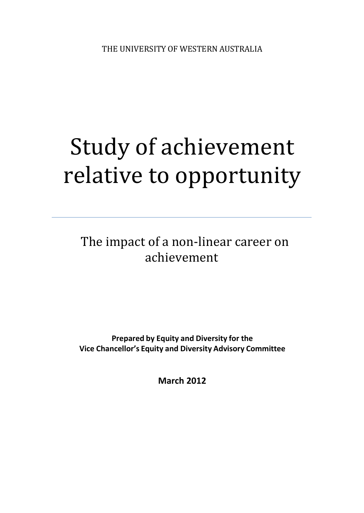# Study of achievement relative to opportunity

The impact of a non-linear career on achievement

**Prepared by Equity and Diversity for the Vice Chancellor's Equity and Diversity Advisory Committee**

**March 2012**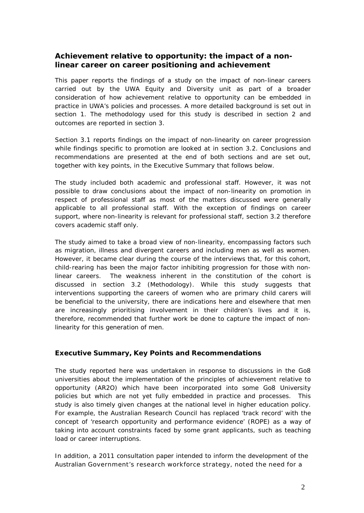# **Achievement relative to opportunity: the impact of a nonlinear career on career positioning and achievement**

This paper reports the findings of a study on the impact of non-linear careers carried out by the UWA Equity and Diversity unit as part of a broader consideration of how achievement relative to opportunity can be embedded in practice in UWA's policies and processes. A more detailed background is set out in section 1. The methodology used for this study is described in section 2 and outcomes are reported in section 3.

Section 3.1 reports findings on the impact of non-linearity on career progression while findings specific to promotion are looked at in section 3.2. Conclusions and recommendations are presented at the end of both sections and are set out, together with key points, in the Executive Summary that follows below.

The study included both academic and professional staff. However, it was not possible to draw conclusions about the impact of non-linearity on promotion in respect of professional staff as most of the matters discussed were generally applicable to all professional staff. With the exception of findings on career support, where non-linearity is relevant for professional staff, section 3.2 therefore covers academic staff only.

The study aimed to take a broad view of non-linearity, encompassing factors such as migration, illness and divergent careers and including men as well as women. However, it became clear during the course of the interviews that, for this cohort, child-rearing has been the major factor inhibiting progression for those with nonlinear careers. The weakness inherent in the constitution of the cohort is discussed in section 3.2 (Methodology). While this study suggests that interventions supporting the careers of women who are primary child carers will be beneficial to the university, there are indications here and elsewhere that men are increasingly prioritising involvement in their children's lives and it is, therefore, recommended that further work be done to capture the impact of nonlinearity for this generation of men.

#### **Executive Summary, Key Points and Recommendations**

The study reported here was undertaken in response to discussions in the Go8 universities about the implementation of the principles of achievement relative to opportunity (AR2O) which have been incorporated into some Go8 University policies but which are not yet fully embedded in practice and processes. This study is also timely given changes at the national level in higher education policy. For example, the Australian Research Council has replaced 'track record' with the concept of 'research opportunity and performance evidence' (ROPE) as a way of taking into account constraints faced by some grant applicants, such as teaching load or career interruptions.

In addition, a 2011 consultation paper intended to inform the development of the Australian Government's research workforce strategy, noted the need for a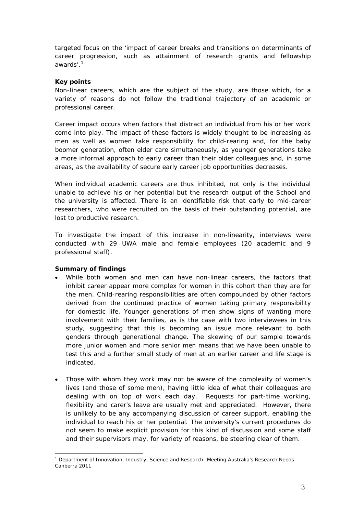targeted focus on the 'impact of career breaks and transitions on determinants of career progression, such as attainment of research grants and fellowship awards'. 1

#### **Key points**

Non-linear careers, which are the subject of the study, are those which, for a variety of reasons do not follow the traditional trajectory of an academic or professional career.

Career impact occurs when factors that distract an individual from his or her work come into play. The impact of these factors is widely thought to be increasing as men as well as women take responsibility for child-rearing and, for the baby boomer generation, often elder care simultaneously, as younger generations take a more informal approach to early career than their older colleagues and, in some areas, as the availability of secure early career job opportunities decreases.

When individual academic careers are thus inhibited, not only is the individual unable to achieve his or her potential but the research output of the School and the university is affected. There is an identifiable risk that early to mid-career researchers, who were recruited on the basis of their outstanding potential, are lost to productive research.

To investigate the impact of this increase in non-linearity, interviews were conducted with 29 UWA male and female employees (20 academic and 9 professional staff).

#### **Summary of findings**

- While both women and men can have non-linear careers, the factors that inhibit career appear more complex for women in this cohort than they are for the men. Child-rearing responsibilities are often compounded by other factors derived from the continued practice of women taking primary responsibility for domestic life. Younger generations of men show signs of wanting more involvement with their families, as is the case with two interviewees in this study, suggesting that this is becoming an issue more relevant to both genders through generational change. The skewing of our sample towards more junior women and more senior men means that we have been unable to test this and a further small study of men at an earlier career and life stage is indicated.
- Those with whom they work may not be aware of the complexity of women's lives (and those of some men), having little idea of what their colleagues are dealing with on top of work each day. Requests for part-time working, flexibility and carer's leave are usually met and appreciated. However, there is unlikely to be any accompanying discussion of career support, enabling the individual to reach his or her potential. The university's current procedures do not seem to make explicit provision for this kind of discussion and some staff and their supervisors may, for variety of reasons, be steering clear of them.

<sup>&</sup>lt;sup>1</sup> Department of Innovation, Industry, Science and Research: Meeting Australia's Research Needs. Canberra 2011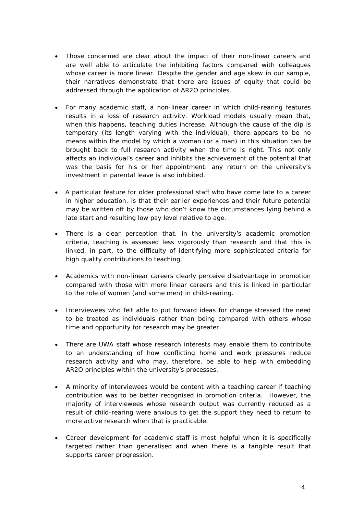- Those concerned are clear about the impact of their non-linear careers and are well able to articulate the inhibiting factors compared with colleagues whose career is more linear. Despite the gender and age skew in our sample, their narratives demonstrate that there are issues of equity that could be addressed through the application of AR2O principles.
- For many academic staff, a non-linear career in which child-rearing features results in a loss of research activity. Workload models usually mean that, when this happens, teaching duties increase. Although the cause of the dip is temporary (its length varying with the individual), there appears to be no means within the model by which a woman (or a man) in this situation can be brought back to full research activity when the time is right. This not only affects an individual's career and inhibits the achievement of the potential that was the basis for his or her appointment: any return on the university's investment in parental leave is also inhibited.
- A particular feature for older professional staff who have come late to a career in higher education, is that their earlier experiences and their future potential may be written off by those who don't know the circumstances lying behind a late start and resulting low pay level relative to age.
- There is a clear perception that, in the university's academic promotion criteria, teaching is assessed less vigorously than research and that this is linked, in part, to the difficulty of identifying more sophisticated criteria for high quality contributions to teaching.
- Academics with non-linear careers clearly perceive disadvantage in promotion compared with those with more linear careers and this is linked in particular to the role of women (and some men) in child-rearing.
- Interviewees who felt able to put forward ideas for change stressed the need to be treated as individuals rather than being compared with others whose time and opportunity for research may be greater.
- There are UWA staff whose research interests may enable them to contribute to an understanding of how conflicting home and work pressures reduce research activity and who may, therefore, be able to help with embedding AR2O principles within the university's processes.
- A minority of interviewees would be content with a teaching career if teaching contribution was to be better recognised in promotion criteria. However, the majority of interviewees whose research output was currently reduced as a result of child-rearing were anxious to get the support they need to return to more active research when that is practicable.
- Career development for academic staff is most helpful when it is specifically targeted rather than generalised and when there is a tangible result that supports career progression.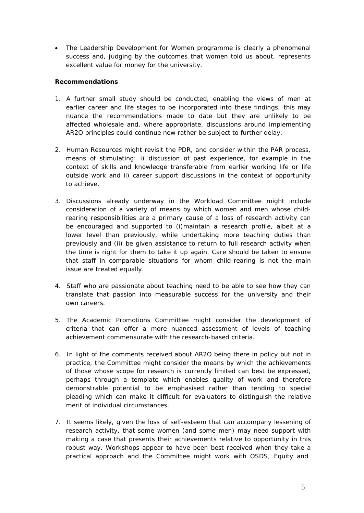• The Leadership Development for Women programme is clearly a phenomenal success and, judging by the outcomes that women told us about, represents excellent value for money for the university.

#### *Recommendations*

- *1. A further small study should be conducted, enabling the views of men at earlier career and life stages to be incorporated into these findings; this may nuance the recommendations made to date but they are unlikely to be affected wholesale and, where appropriate, discussions around implementing AR2O principles could continue now rather be subject to further delay.*
- *2. Human Resources might revisit the PDR, and consider within the PAR process, means of stimulating: i) discussion of past experience, for example in the context of skills and knowledge transferable from earlier working life or life outside work and ii) career support discussions in the context of opportunity to achieve.*
- *3. Discussions already underway in the Workload Committee might include consideration of a variety of means by which women and men whose childrearing responsibilities are a primary cause of a loss of research activity can be encouraged and supported to (i)maintain a research profile, albeit at a*  lower level than previously, while undertaking more teaching duties than *previously and (ii) be given assistance to return to full research activity when the time is right for them to take it up again. Care should be taken to ensure that staff in comparable situations for whom child-rearing is not the main issue are treated equally.*
- *4. Staff who are passionate about teaching need to be able to see how they can translate that passion into measurable success for the university and their own careers.*
- *5. The Academic Promotions Committee might consider the development of criteria that can offer a more nuanced assessment of levels of teaching achievement commensurate with the research-based criteria.*
- *6. In light of the comments received about AR2O being there in policy but not in practice, the Committee might consider the means by which the achievements of those whose scope for research is currently limited can best be expressed, perhaps through a template which enables quality of work and therefore demonstrable potential to be emphasised rather than tending to special pleading which can make it difficult for evaluators to distinguish the relative merit of individual circumstances.*
- *7. It seems likely, given the loss of self-esteem that can accompany lessening of research activity, that some women (and some men) may need support with making a case that presents their achievements relative to opportunity in this robust way. Workshops appear to have been best received when they take a practical approach and the Committee might work with OSDS, Equity and*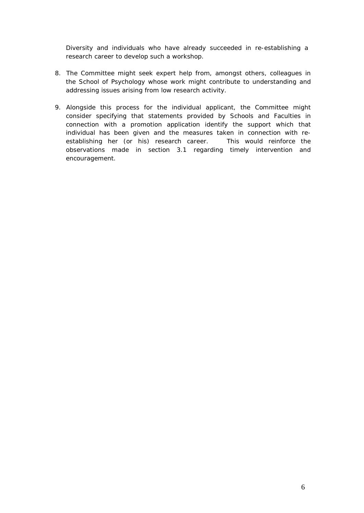*Diversity and individuals who have already succeeded in re-establishing a research career to develop such a workshop.*

- *8. The Committee might seek expert help from, amongst others, colleagues in the School of Psychology whose work might contribute to understanding and addressing issues arising from low research activity.*
- *9. Alongside this process for the individual applicant, the Committee might consider specifying that statements provided by Schools and Faculties in connection with a promotion application identify the support which that individual has been given and the measures taken in connection with reestablishing her (or his) research career. This would reinforce the observations made in section 3.1 regarding timely intervention and encouragement.*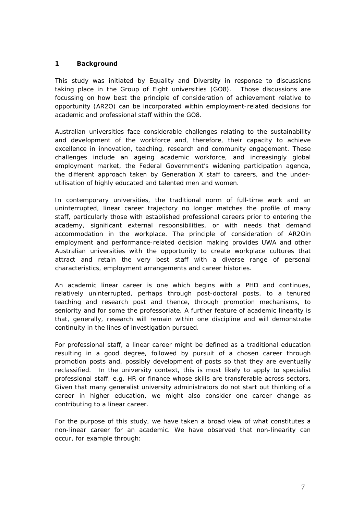#### **1 Background**

This study was initiated by Equality and Diversity in response to discussions taking place in the Group of Eight universities (GO8). Those discussions are focussing on how best the principle of consideration of achievement relative to opportunity (AR2O) can be incorporated within employment-related decisions for academic and professional staff within the GO8.

Australian universities face considerable challenges relating to the sustainability and development of the workforce and, therefore, their capacity to achieve excellence in innovation, teaching, research and community engagement. These challenges include an ageing academic workforce, and increasingly global employment market, the Federal Government's widening participation agenda, the different approach taken by Generation X staff to careers, and the underutilisation of highly educated and talented men and women.

In contemporary universities, the traditional norm of full-time work and an uninterrupted, linear career trajectory no longer matches the profile of many staff, particularly those with established professional careers prior to entering the academy, significant external responsibilities, or with needs that demand accommodation in the workplace. The principle of consideration of AR2Oin employment and performance-related decision making provides UWA and other Australian universities with the opportunity to create workplace cultures that attract and retain the very best staff with a diverse range of personal characteristics, employment arrangements and career histories.

An academic linear career is one which begins with a PHD and continues, relatively uninterrupted, perhaps through post-doctoral posts, to a tenured teaching and research post and thence, through promotion mechanisms, to seniority and for some the professoriate. A further feature of academic linearity is that, generally, research will remain within one discipline and will demonstrate continuity in the lines of investigation pursued.

For professional staff, a linear career might be defined as a traditional education resulting in a good degree, followed by pursuit of a chosen career through promotion posts and, possibly development of posts so that they are eventually reclassified. In the university context, this is most likely to apply to specialist professional staff, e.g. HR or finance whose skills are transferable across sectors. Given that many generalist university administrators do not start out thinking of a career in higher education, we might also consider one career change as contributing to a linear career.

For the purpose of this study, we have taken a broad view of what constitutes a non-linear career for an academic. We have observed that non-linearity can occur, for example through: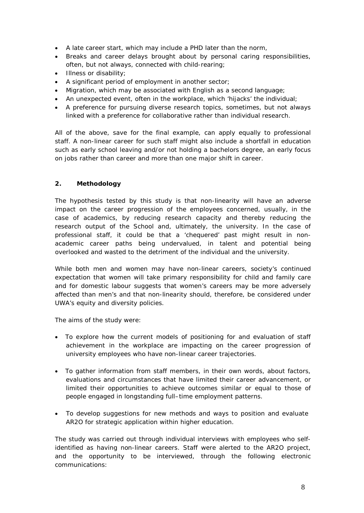- A late career start, which may include a PHD later than the norm,
- Breaks and career delays brought about by personal caring responsibilities, often, but not always, connected with child-rearing;
- Illness or disability;
- A significant period of employment in another sector;
- Migration, which may be associated with English as a second language;
- An unexpected event, often in the workplace, which 'hijacks' the individual;
- A preference for pursuing diverse research topics, sometimes, but not always linked with a preference for collaborative rather than individual research.

All of the above, save for the final example, can apply equally to professional staff. A non-linear career for such staff might also include a shortfall in education such as early school leaving and/or not holding a bachelors degree, an early focus on jobs rather than career and more than one major shift in career.

#### **2. Methodology**

The hypothesis tested by this study is that non-linearity will have an adverse impact on the career progression of the employees concerned, usually, in the case of academics, by reducing research capacity and thereby reducing the research output of the School and, ultimately, the university. In the case of professional staff, it could be that a 'chequered' past might result in nonacademic career paths being undervalued, in talent and potential being overlooked and wasted to the detriment of the individual and the university.

While both men and women may have non-linear careers, society's continued expectation that women will take primary responsibility for child and family care and for domestic labour suggests that women's careers may be more adversely affected than men's and that non-linearity should, therefore, be considered under UWA's equity and diversity policies.

The aims of the study were:

- To explore how the current models of positioning for and evaluation of staff achievement in the workplace are impacting on the career progression of university employees who have non-linear career trajectories.
- To gather information from staff members, in their own words, about factors, evaluations and circumstances that have limited their career advancement, or limited their opportunities to achieve outcomes similar or equal to those of people engaged in longstanding full–time employment patterns.
- To develop suggestions for new methods and ways to position and evaluate AR2O for strategic application within higher education.

The study was carried out through individual interviews with employees who selfidentified as having non-linear careers. Staff were alerted to the AR2O project, and the opportunity to be interviewed, through the following electronic communications: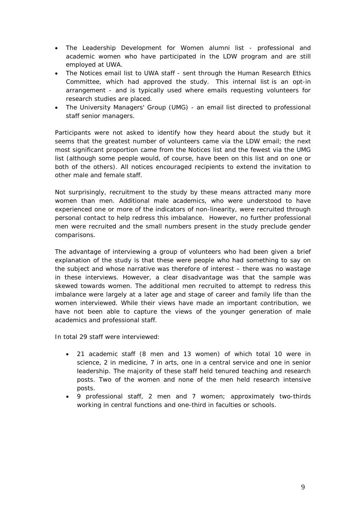- The Leadership Development for Women alumni list professional and academic women who have participated in the LDW program and are still employed at UWA.
- The *Notices* email list to UWA staff sent through the Human Research Ethics Committee, which had approved the study. This internal list is an opt-in arrangement - and is typically used where emails requesting volunteers for research studies are placed.
- The University Managers' Group (UMG) an email list directed to professional staff senior managers.

Participants were not asked to identify how they heard about the study but it seems that the greatest number of volunteers came via the LDW email; the next most significant proportion came from the *Notices* list and the fewest via the UMG list (although some people would, of course, have been on this list and on one or both of the others). All notices encouraged recipients to extend the invitation to other male and female staff.

Not surprisingly, recruitment to the study by these means attracted many more women than men. Additional male academics, who were understood to have experienced one or more of the indicators of non-linearity, were recruited through personal contact to help redress this imbalance. However, no further professional men were recruited and the small numbers present in the study preclude gender comparisons.

The advantage of interviewing a group of volunteers who had been given a brief explanation of the study is that these were people who had something to say on the subject and whose narrative was therefore of interest – there was no wastage in these interviews. However, a clear disadvantage was that the sample was skewed towards women. The additional men recruited to attempt to redress this imbalance were largely at a later age and stage of career and family life than the women interviewed. While their views have made an important contribution, we have not been able to capture the views of the younger generation of male academics and professional staff.

In total 29 staff were interviewed:

- 21 academic staff (8 men and 13 women) of which total 10 were in science, 2 in medicine, 7 in arts, one in a central service and one in senior leadership. The majority of these staff held tenured teaching and research posts. Two of the women and none of the men held research intensive posts.
- 9 professional staff, 2 men and 7 women; approximately two-thirds working in central functions and one-third in faculties or schools.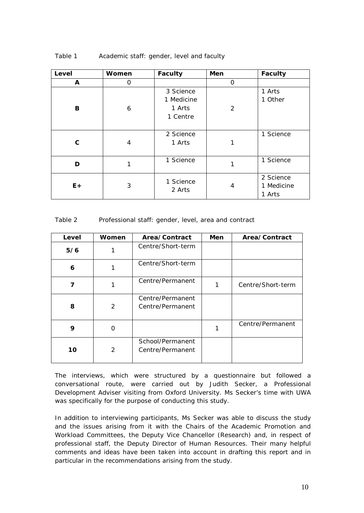| Level | Women          | <b>Faculty</b> | Men            | <b>Faculty</b> |
|-------|----------------|----------------|----------------|----------------|
| A     | 0              |                | 0              |                |
|       |                | 3 Science      |                | 1 Arts         |
|       |                | 1 Medicine     |                | 1 Other        |
| В     | 6              | 1 Arts         | $\overline{2}$ |                |
|       |                | 1 Centre       |                |                |
|       |                |                |                |                |
|       |                | 2 Science      |                | 1 Science      |
| C     | $\overline{4}$ | 1 Arts         | 1              |                |
|       |                |                |                |                |
| D     | 1              | 1 Science      | 1              | 1 Science      |
|       |                |                |                |                |
|       |                | 1 Science      |                | 2 Science      |
| $E +$ | 3              | 2 Arts         | 4              | 1 Medicine     |
|       |                |                |                | 1 Arts         |

#### Table 1 Academic staff: gender, level and faculty

#### Table 2 Professional staff: gender, level, area and contract

| Level | Women | Area/Contract                        | Men | Area/Contract     |
|-------|-------|--------------------------------------|-----|-------------------|
| 5/6   |       | Centre/Short-term                    |     |                   |
| 6     |       | Centre/Short-term                    |     |                   |
| 7     |       | Centre/Permanent                     |     | Centre/Short-term |
| 8     | 2     | Centre/Permanent<br>Centre/Permanent |     |                   |
| 9     | 0     |                                      |     | Centre/Permanent  |
| 10    | 2     | School/Permanent<br>Centre/Permanent |     |                   |

The interviews, which were structured by a questionnaire but followed a conversational route, were carried out by Judith Secker, a Professional Development Adviser visiting from Oxford University. Ms Secker's time with UWA was specifically for the purpose of conducting this study.

In addition to interviewing participants, Ms Secker was able to discuss the study and the issues arising from it with the Chairs of the Academic Promotion and Workload Committees, the Deputy Vice Chancellor (Research) and, in respect of professional staff, the Deputy Director of Human Resources. Their many helpful comments and ideas have been taken into account in drafting this report and in particular in the recommendations arising from the study.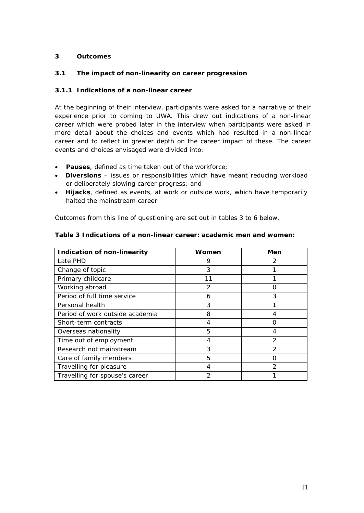#### **3 Outcomes**

#### *3.1 The impact of non-linearity on career progression*

#### **3.1.1 Indications of a non-linear career**

At the beginning of their interview, participants were asked for a narrative of their experience prior to coming to UWA. This drew out indications of a non-linear career which were probed later in the interview when participants were asked in more detail about the choices and events which had resulted in a non-linear career and to reflect in greater depth on the career impact of these. The career events and choices envisaged were divided into:

- **Pauses**, defined as time taken out of the workforce;
- **Diversions** issues or responsibilities which have meant reducing workload or deliberately slowing career progress; and
- **Hijacks**, defined as events, at work or outside work, which have temporarily halted the mainstream career.

Outcomes from this line of questioning are set out in tables 3 to 6 below.

| <b>Indication of non-linearity</b> | Women | Men           |
|------------------------------------|-------|---------------|
| Late PHD                           | 9     | 2             |
| Change of topic                    | 3     |               |
| Primary childcare                  | 11    |               |
| Working abroad                     | 2     | Ω             |
| Period of full time service        | 6     | 3             |
| Personal health                    | 3     |               |
| Period of work outside academia    | 8     |               |
| Short-term contracts               | 4     |               |
| Overseas nationality               | 5     |               |
| Time out of employment             | 4     | 2             |
| Research not mainstream            | 3     | $\mathcal{P}$ |
| Care of family members             | 5     |               |
| Travelling for pleasure            |       | $\mathcal{P}$ |
| Travelling for spouse's career     | 2     |               |

#### **Table 3 Indications of a non-linear career: academic men and women:**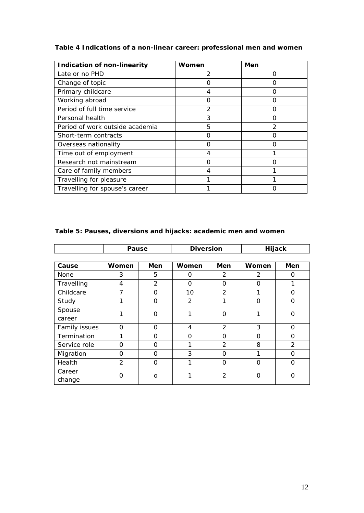# **Table 4 Indications of a non-linear career: professional men and women**

| <b>Indication of non-linearity</b> | Women          | Men |
|------------------------------------|----------------|-----|
| Late or no PHD                     | 2              |     |
| Change of topic                    |                |     |
| Primary childcare                  |                |     |
| Working abroad                     |                |     |
| Period of full time service        | $\mathfrak{D}$ |     |
| Personal health                    | 3              | ∩   |
| Period of work outside academia    | 5              | 2   |
| Short-term contracts               | Ω              | U   |
| Overseas nationality               |                |     |
| Time out of employment             |                |     |
| Research not mainstream            |                |     |
| Care of family members             |                |     |
| Travelling for pleasure            |                |     |
| Travelling for spouse's career     |                |     |

|               | Pause          |                | <b>Diversion</b> |                |          | Hijack   |
|---------------|----------------|----------------|------------------|----------------|----------|----------|
|               |                |                |                  |                |          |          |
| Cause         | Women          | Men            | Women            | Men            | Women    | Men      |
| None          | 3              | 5              | 0                | 2              | 2        | 0        |
| Travelling    | 4              | $\overline{2}$ | $\Omega$         | 0              | $\Omega$ |          |
| Childcare     | 7              | $\Omega$       | 10               | $\overline{2}$ |          | O        |
| Study         | 1              | 0              | 2                | 1              | $\Omega$ | $\Omega$ |
| Spouse        |                | O              |                  | O              |          | 0        |
| career        |                |                |                  |                |          |          |
| Family issues | $\Omega$       | $\Omega$       | 4                | 2              | 3        | $\Omega$ |
| Termination   | 1              | O              | $\Omega$         | $\Omega$       | O        | 0        |
| Service role  | $\Omega$       | $\Omega$       |                  | $\overline{2}$ | 8        | 2        |
| Migration     | $\Omega$       | $\Omega$       | 3                | $\Omega$       |          | $\Omega$ |
| Health        | $\overline{2}$ | $\Omega$       | 1                | $\Omega$       | $\Omega$ | O        |
| Career        | ი              |                |                  | 2              | Ω        | Ω        |
| change        |                | $\circ$        |                  |                |          |          |

# **Table 5: Pauses, diversions and hijacks: academic men and women**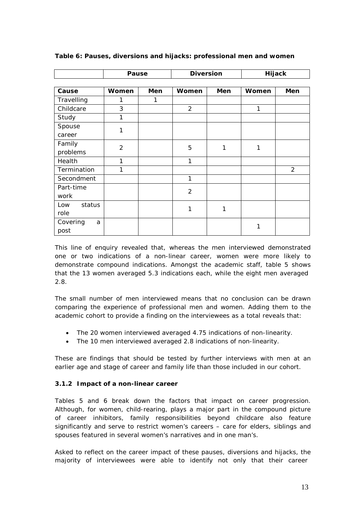|               | Pause          |     | <b>Diversion</b> |     |       | Hijack         |
|---------------|----------------|-----|------------------|-----|-------|----------------|
|               |                |     |                  |     |       |                |
| Cause         | Women          | Men | Women            | Men | Women | Men            |
| Travelling    | 1              | 1   |                  |     |       |                |
| Childcare     | 3              |     | $\overline{2}$   |     | 1     |                |
| Study         | 1              |     |                  |     |       |                |
| Spouse        | 1              |     |                  |     |       |                |
| career        |                |     |                  |     |       |                |
| Family        | $\overline{2}$ |     | 5                | 1   | 1     |                |
| problems      |                |     |                  |     |       |                |
| Health        | 1              |     | 1                |     |       |                |
| Termination   | 1              |     |                  |     |       | $\overline{2}$ |
| Secondment    |                |     | 1                |     |       |                |
| Part-time     |                |     | $\overline{2}$   |     |       |                |
| work          |                |     |                  |     |       |                |
| status<br>Low |                |     | 1                | 1   |       |                |
| role          |                |     |                  |     |       |                |
| Covering<br>a |                |     |                  |     | 1     |                |
| post          |                |     |                  |     |       |                |

**Table 6: Pauses, diversions and hijacks: professional men and women**

This line of enquiry revealed that, whereas the men interviewed demonstrated one or two indications of a non-linear career, women were more likely to demonstrate compound indications. Amongst the academic staff, table 5 shows that the 13 women averaged 5.3 indications each, while the eight men averaged 2.8.

The small number of men interviewed means that no conclusion can be drawn comparing the experience of professional men and women. Adding them to the academic cohort to provide a finding on the interviewees as a total reveals that:

- The 20 women interviewed averaged 4.75 indications of non-linearity.
- The 10 men interviewed averaged 2.8 indications of non-linearity.

These are findings that should be tested by further interviews with men at an earlier age and stage of career and family life than those included in our cohort.

#### **3.1.2 Impact of a non-linear career**

Tables 5 and 6 break down the factors that impact on career progression. Although, for women, child-rearing, plays a major part in the compound picture of career inhibitors, family responsibilities beyond childcare also feature significantly and serve to restrict women's careers – care for elders, siblings and spouses featured in several women's narratives and in one man's.

Asked to reflect on the career impact of these pauses, diversions and hijacks, the majority of interviewees were able to identify not only that their career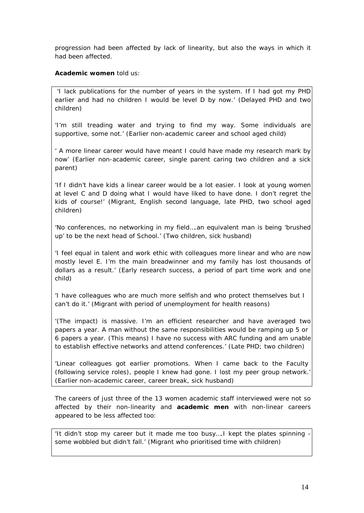progression had been affected by lack of linearity, but also the ways in which it had been affected.

#### **Academic women** told us:

'I lack publications for the number of years in the system. If I had got my PHD earlier and had no children I would be level D by now.' (Delayed PHD and two children)

'I'm still treading water and trying to find my way. Some individuals are supportive, some not.' (Earlier non-academic career and school aged child)

' A more linear career would have meant I could have made my research mark by now' (Earlier non-academic career, single parent caring two children and a sick parent)

'If I didn't have kids a linear career would be a lot easier. I look at young women at level C and D doing what I would have liked to have done. I don't regret the kids of course!' (Migrant, English second language, late PHD, two school aged children)

'No conferences, no networking in my field….an equivalent man is being 'brushed up' to be the next head of School.' (Two children, sick husband)

'I feel equal in talent and work ethic with colleagues more linear and who are now mostly level E. I'm the main breadwinner and my family has lost thousands of dollars as a result.' (Early research success, a period of part time work and one child)

'I have colleagues who are much more selfish and who protect themselves but I can't do it.' (Migrant with period of unemployment for health reasons)

'(The impact) is massive. I'm an efficient researcher and have averaged two papers a year. A man without the same responsibilities would be ramping up 5 or 6 papers a year. (This means) I have no success with ARC funding and am unable to establish effective networks and attend conferences.' (Late PHD; two children)

'Linear colleagues got earlier promotions. When I came back to the Faculty (following service roles), people I knew had gone. I lost my peer group network.' (Earlier non-academic career, career break, sick husband)

The careers of just three of the 13 women academic staff interviewed were not so affected by their non-linearity and **academic men** with non-linear careers appeared to be less affected too:

'It didn't stop my career but it made me too busy….I kept the plates spinning some wobbled but didn't fall.' (Migrant who prioritised time with children)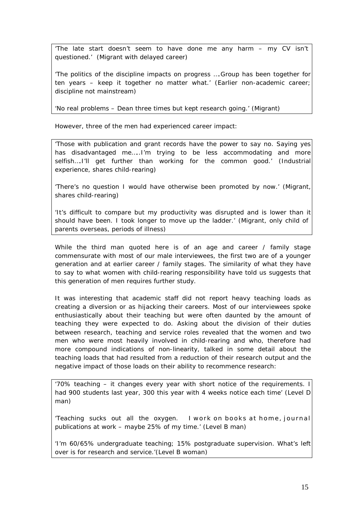'The late start doesn't seem to have done me any harm – my CV isn't questioned.' (Migrant with delayed career)

'The politics of the discipline impacts on progress ….Group has been together for ten years – keep it together no matter what.' (Earlier non-academic career; discipline not mainstream)

'No real problems – Dean three times but kept research going.' (Migrant)

However, three of the men had experienced career impact:

'Those with publication and grant records have the power to say no. Saying yes has disadvantaged me…..I'm trying to be less accommodating and more selfish….I'll get further than working for the common good.' (Industrial experience, shares child-rearing)

'There's no question I would have otherwise been promoted by now.' (Migrant, shares child-rearing)

'It's difficult to compare but my productivity was disrupted and is lower than it should have been. I took longer to move up the ladder.' (Migrant, only child of parents overseas, periods of illness)

While the third man quoted here is of an age and career / family stage commensurate with most of our male interviewees, the first two are of a younger generation and at earlier career / family stages. The similarity of what they have to say to what women with child-rearing responsibility have told us suggests that this generation of men requires further study.

It was interesting that academic staff did not report heavy teaching loads as creating a diversion or as hijacking their careers. Most of our interviewees spoke enthusiastically about their teaching but were often daunted by the amount of teaching they were expected to do. Asking about the division of their duties between research, teaching and service roles revealed that the women and two men who were most heavily involved in child-rearing and who, therefore had more compound indications of non-linearity, talked in some detail about the teaching loads that had resulted from a reduction of their research output and the negative impact of those loads on their ability to recommence research:

'70% teaching – it changes every year with short notice of the requirements. I had 900 students last year, 300 this year with 4 weeks notice each time' (Level D man)

'Teaching sucks out all the oxygen. I work on books at home, journal publications at work – maybe 25% of my time.' (Level B man)

'I'm 60/65% undergraduate teaching; 15% postgraduate supervision. What's left over is for research and service.'(Level B woman)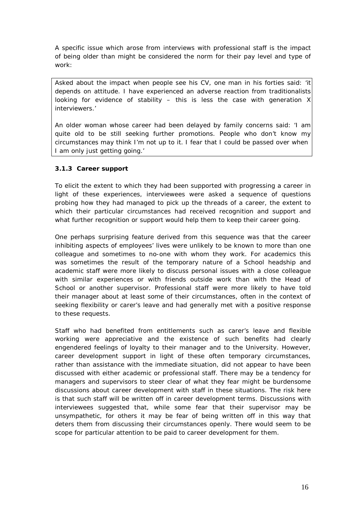A specific issue which arose from interviews with professional staff is the impact of being older than might be considered the norm for their pay level and type of work:

Asked about the impact when people see his CV, one man in his forties said: 'it depends on attitude. I have experienced an adverse reaction from traditionalists looking for evidence of stability  $-$  this is less the case with generation X interviewers.'

An older woman whose career had been delayed by family concerns said: 'I am quite old to be still seeking further promotions. People who don't know my circumstances may think I'm not up to it. I fear that I could be passed over when I am only just getting going.'

# **3.1.3 Career support**

To elicit the extent to which they had been supported with progressing a career in light of these experiences, interviewees were asked a sequence of questions probing how they had managed to pick up the threads of a career, the extent to which their particular circumstances had received recognition and support and what further recognition or support would help them to keep their career going.

One perhaps surprising feature derived from this sequence was that the career inhibiting aspects of employees' lives were unlikely to be known to more than one colleague and sometimes to no-one with whom they work. For academics this was sometimes the result of the temporary nature of a School headship and academic staff were more likely to discuss personal issues with a close colleague with similar experiences or with friends outside work than with the Head of School or another supervisor. Professional staff were more likely to have told their manager about at least some of their circumstances, often in the context of seeking flexibility or carer's leave and had generally met with a positive response to these requests.

Staff who had benefited from entitlements such as carer's leave and flexible working were appreciative and the existence of such benefits had clearly engendered feelings of loyalty to their manager and to the University. However, career development support in light of these often temporary circumstances, rather than assistance with the immediate situation, did not appear to have been discussed with either academic or professional staff. There may be a tendency for managers and supervisors to steer clear of what they fear might be burdensome discussions about career development with staff in these situations. The risk here is that such staff will be written off in career development terms. Discussions with interviewees suggested that, while some fear that their supervisor may be unsympathetic, for others it may be fear of being written off in this way that deters them from discussing their circumstances openly. There would seem to be scope for particular attention to be paid to career development for them.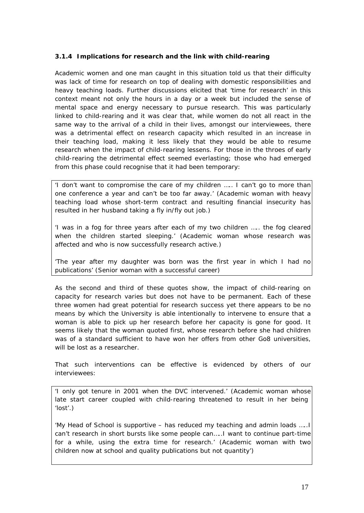#### **3.1.4 Implications for research and the link with child-rearing**

Academic women and one man caught in this situation told us that their difficulty was lack of time for research on top of dealing with domestic responsibilities and heavy teaching loads. Further discussions elicited that 'time for research' in this context meant not only the hours in a day or a week but included the sense of mental space and energy necessary to pursue research. This was particularly linked to child-rearing and it was clear that, while women do not all react in the same way to the arrival of a child in their lives, amongst our interviewees, there was a detrimental effect on research capacity which resulted in an increase in their teaching load, making it less likely that they would be able to resume research when the impact of child-rearing lessens. For those in the throes of early child-rearing the detrimental effect seemed everlasting; those who had emerged from this phase could recognise that it had been temporary:

'I don't want to compromise the care of my children ….. I can't go to more than one conference a year and can't be too far away.' (Academic woman with heavy teaching load whose short-term contract and resulting financial insecurity has resulted in her husband taking a fly in/fly out job.)

'I was in a fog for three years after each of my two children ….. the fog cleared when the children started sleeping.' (Academic woman whose research was affected and who is now successfully research active.)

'The year after my daughter was born was the first year in which I had no publications' (Senior woman with a successful career)

As the second and third of these quotes show, the impact of child-rearing on capacity for research varies but does not have to be permanent. Each of these three women had great potential for research success yet there appears to be no means by which the University is able intentionally to intervene to ensure that a woman is able to pick up her research before her capacity is gone for good. It seems likely that the woman quoted first, whose research before she had children was of a standard sufficient to have won her offers from other Go8 universities, will be lost as a researcher.

That such interventions can be effective is evidenced by others of our interviewees:

'I only got tenure in 2001 when the DVC intervened.' (Academic woman whose late start career coupled with child-rearing threatened to result in her being 'lost'.)

'My Head of School is supportive – has reduced my teaching and admin loads …..I can't research in short bursts like some people can…..I want to continue part-time for a while, using the extra time for research.' (Academic woman with two children now at school and quality publications but not quantity')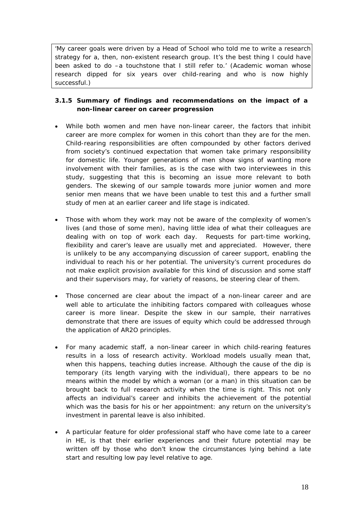'My career goals were driven by a Head of School who told me to write a research strategy for a, then, non-existent research group. It's the best thing I could have been asked to do –a touchstone that I still refer to.' (Academic woman whose research dipped for six years over child-rearing and who is now highly successful.)

# **3.1.5 Summary of findings and recommendations on the impact of a non-linear career on career progression**

- While both women and men have non-linear career, the factors that inhibit career are more complex for women in this cohort than they are for the men. Child-rearing responsibilities are often compounded by other factors derived from society's continued expectation that women take primary responsibility for domestic life. Younger generations of men show signs of wanting more involvement with their families, as is the case with two interviewees in this study, suggesting that this is becoming an issue more relevant to both genders. The skewing of our sample towards more junior women and more senior men means that we have been unable to test this and a further small study of men at an earlier career and life stage is indicated.
- Those with whom they work may not be aware of the complexity of women's lives (and those of some men), having little idea of what their colleagues are dealing with on top of work each day. Requests for part-time working, flexibility and carer's leave are usually met and appreciated. However, there is unlikely to be any accompanying discussion of career support, enabling the individual to reach his or her potential. The university's current procedures do not make explicit provision available for this kind of discussion and some staff and their supervisors may, for variety of reasons, be steering clear of them.
- Those concerned are clear about the impact of a non-linear career and are well able to articulate the inhibiting factors compared with colleagues whose career is more linear. Despite the skew in our sample, their narratives demonstrate that there are issues of equity which could be addressed through the application of AR2O principles.
- For many academic staff, a non-linear career in which child-rearing features results in a loss of research activity. Workload models usually mean that, when this happens, teaching duties increase. Although the cause of the dip is temporary (its length varying with the individual), there appears to be no means within the model by which a woman (or a man) in this situation can be brought back to full research activity when the time is right. This not only affects an individual's career and inhibits the achievement of the potential which was the basis for his or her appointment: any return on the university's investment in parental leave is also inhibited.
- A particular feature for older professional staff who have come late to a career in HE, is that their earlier experiences and their future potential may be written off by those who don't know the circumstances lying behind a late start and resulting low pay level relative to age.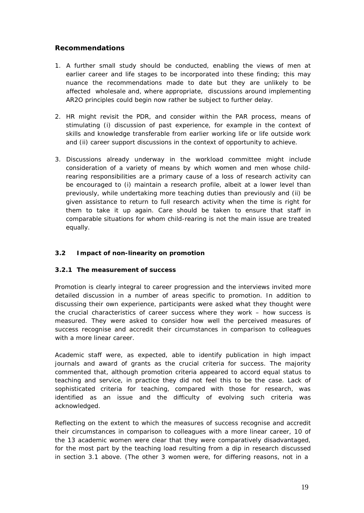# *Recommendations*

- *1. A further small study should be conducted, enabling the views of men at earlier career and life stages to be incorporated into these finding; this may nuance the recommendations made to date but they are unlikely to be affected wholesale and, where appropriate, discussions around implementing AR2O principles could begin now rather be subject to further delay.*
- *2. HR might revisit the PDR, and consider within the PAR process, means of stimulating (i) discussion of past experience, for example in the context of skills and knowledge transferable from earlier working life or life outside work and (ii) career support discussions in the context of opportunity to achieve.*
- *3. Discussions already underway in the workload committee might include consideration of a variety of means by which women and men whose childrearing responsibilities are a primary cause of a loss of research activity can be encouraged to (i) maintain a research profile, albeit at a lower level than previously, while undertaking more teaching duties than previously and (ii) be given assistance to return to full research activity when the time is right for them to take it up again. Care should be taken to ensure that staff in comparable situations for whom child-rearing is not the main issue are treated equally.*

# *3.2 Impact of non-linearity on promotion*

#### **3.2.1 The measurement of success**

Promotion is clearly integral to career progression and the interviews invited more detailed discussion in a number of areas specific to promotion. In addition to discussing their own experience, participants were asked what they thought were the crucial characteristics of career success where they work – how success is measured. They were asked to consider how well the perceived measures of success recognise and accredit their circumstances in comparison to colleagues with a more linear career.

Academic staff were, as expected, able to identify publication in high impact journals and award of grants as the crucial criteria for success. The majority commented that, although promotion criteria appeared to accord equal status to teaching and service, in practice they did not feel this to be the case. Lack of sophisticated criteria for teaching, compared with those for research, was identified as an issue and the difficulty of evolving such criteria was acknowledged.

Reflecting on the extent to which the measures of success recognise and accredit their circumstances in comparison to colleagues with a more linear career, 10 of the 13 academic women were clear that they were comparatively disadvantaged, for the most part by the teaching load resulting from a dip in research discussed in section 3.1 above. (The other 3 women were, for differing reasons, not in a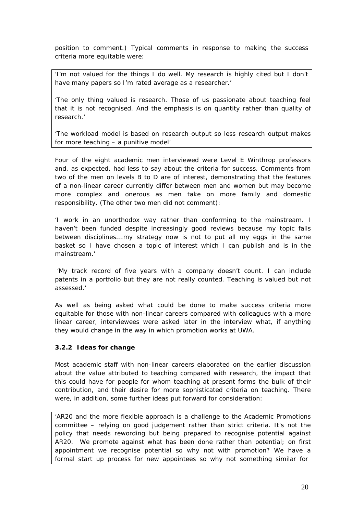position to comment.) Typical comments in response to making the success criteria more equitable were:

'I'm not valued for the things I do well. My research is highly cited but I don't have many papers so I'm rated average as a researcher.'

'The only thing valued is research. Those of us passionate about teaching feel that it is not recognised. And the emphasis is on quantity rather than quality of research.'

'The workload model is based on research output so less research output makes for more teaching – a punitive model'

Four of the eight academic men interviewed were Level E Winthrop professors and, as expected, had less to say about the criteria for success. Comments from two of the men on levels B to D are of interest, demonstrating that the features of a non-linear career currently differ between men and women but may become more complex and onerous as men take on more family and domestic responsibility. (The other two men did not comment):

'I work in an unorthodox way rather than conforming to the mainstream. I haven't been funded despite increasingly good reviews because my topic falls between disciplines….my strategy now is not to put all my eggs in the same basket so I have chosen a topic of interest which I can publish and is in the mainstream.'

'My track record of five years with a company doesn't count. I can include patents in a portfolio but they are not really counted. Teaching is valued but not assessed.'

As well as being asked what could be done to make success criteria more equitable for those with non-linear careers compared with colleagues with a more linear career, interviewees were asked later in the interview what, if anything they would change in the way in which promotion works at UWA.

#### **3.2.2 Ideas for change**

Most academic staff with non-linear careers elaborated on the earlier discussion about the value attributed to teaching compared with research, the impact that this could have for people for whom teaching at present forms the bulk of their contribution, and their desire for more sophisticated criteria on teaching. There were, in addition, some further ideas put forward for consideration:

'AR20 and the more flexible approach is a challenge to the Academic Promotions committee – relying on good judgement rather than strict criteria. It's not the policy that needs rewording but being prepared to recognise potential against AR20. We promote against what has been done rather than potential; on first appointment we recognise potential so why not with promotion? We have a formal start up process for new appointees so why not something similar for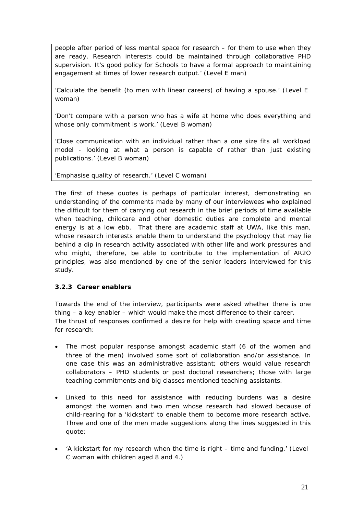people after period of less mental space for research – for them to use when they are ready. Research interests could be maintained through collaborative PHD supervision. It's good policy for Schools to have a formal approach to maintaining engagement at times of lower research output.' (Level E man)

'Calculate the benefit (to men with linear careers) of having a spouse.' (Level E woman)

'Don't compare with a person who has a wife at home who does everything and whose only commitment is work.' (Level B woman)

'Close communication with an individual rather than a one size fits all workload model - looking at what a person is capable of rather than just existing publications.' (Level B woman)

'Emphasise quality of research.' (Level C woman)

The first of these quotes is perhaps of particular interest, demonstrating an understanding of the comments made by many of our interviewees who explained the difficult for them of carrying out research in the brief periods of time available when teaching, childcare and other domestic duties are complete and mental energy is at a low ebb. That there are academic staff at UWA, like this man, whose research interests enable them to understand the psychology that may lie behind a dip in research activity associated with other life and work pressures and who might, therefore, be able to contribute to the implementation of AR2O principles, was also mentioned by one of the senior leaders interviewed for this study.

#### **3.2.3 Career enablers**

Towards the end of the interview, participants were asked whether there is one thing – a key enabler – which would make the most difference to their career. The thrust of responses confirmed a desire for help with creating space and time for research:

- The most popular response amongst academic staff (6 of the women and three of the men) involved some sort of collaboration and/or assistance. In one case this was an administrative assistant; others would value research collaborators – PHD students or post doctoral researchers; those with large teaching commitments and big classes mentioned teaching assistants.
- Linked to this need for assistance with reducing burdens was a desire amongst the women and two men whose research had slowed because of child-rearing for a 'kickstart' to enable them to become more research active. Three and one of the men made suggestions along the lines suggested in this quote:
- 'A kickstart for my research when the time is right time and funding.' (Level C woman with children aged 8 and 4.)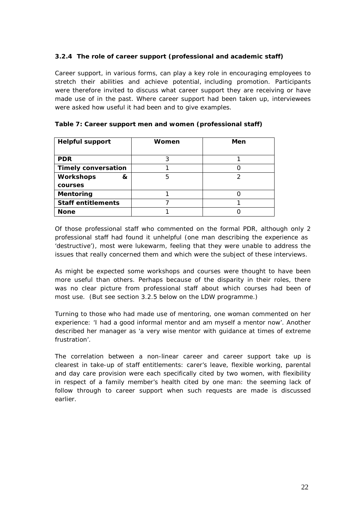#### **3.2.4 The role of career support (professional and academic staff)**

Career support, in various forms, can play a key role in encouraging employees to stretch their abilities and achieve potential, including promotion. Participants were therefore invited to discuss what career support they are receiving or have made use of in the past. Where career support had been taken up, interviewees were asked how useful it had been and to give examples.

| <b>Helpful support</b>     | Women | Men |
|----------------------------|-------|-----|
|                            |       |     |
| <b>PDR</b>                 | 3     |     |
| <b>Timely conversation</b> |       |     |
| <b>Workshops</b><br>&      | 5     | っ   |
| courses                    |       |     |
| <b>Mentoring</b>           |       |     |
| <b>Staff entitlements</b>  |       |     |
| <b>None</b>                |       |     |

#### **Table 7: Career support men and women (professional staff)**

Of those professional staff who commented on the formal PDR, although only 2 professional staff had found it unhelpful (one man describing the experience as 'destructive'), most were lukewarm, feeling that they were unable to address the issues that really concerned them and which were the subject of these interviews.

As might be expected some workshops and courses were thought to have been more useful than others. Perhaps because of the disparity in their roles, there was no clear picture from professional staff about which courses had been of most use. (But see section 3.2.5 below on the LDW programme.)

Turning to those who had made use of mentoring, one woman commented on her experience: 'I had a good informal mentor and am myself a mentor now'. Another described her manager as 'a very wise mentor with guidance at times of extreme frustration'.

The correlation between a non-linear career and career support take up is clearest in take-up of staff entitlements: carer's leave, flexible working, parental and day care provision were each specifically cited by two women, with flexibility in respect of a family member's health cited by one man: the seeming lack of follow through to career support when such requests are made is discussed earlier.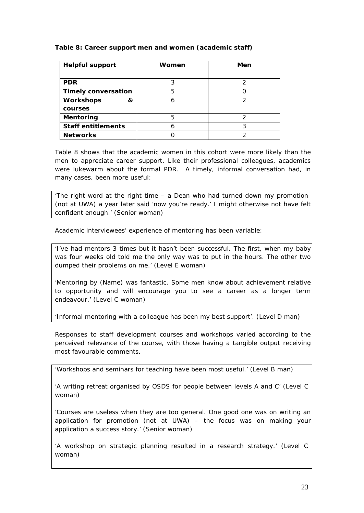#### **Table 8: Career support men and women (academic staff)**

| <b>Helpful support</b>     | Women | Men |
|----------------------------|-------|-----|
|                            |       |     |
| <b>PDR</b>                 |       |     |
| <b>Timely conversation</b> | 5     |     |
| <b>Workshops</b><br>&      |       | っ   |
| courses                    |       |     |
| Mentoring                  | 5     |     |
| <b>Staff entitlements</b>  |       | 3   |
| <b>Networks</b>            |       |     |

Table 8 shows that the academic women in this cohort were more likely than the men to appreciate career support. Like their professional colleagues, academics were lukewarm about the formal PDR. A timely, informal conversation had, in many cases, been more useful:

'The right word at the right time – a Dean who had turned down my promotion (not at UWA) a year later said 'now you're ready.' I might otherwise not have felt confident enough.' (Senior woman)

Academic interviewees' experience of mentoring has been variable:

'I've had mentors 3 times but it hasn't been successful. The first, when my baby was four weeks old told me the only way was to put in the hours. The other two dumped their problems on me.' (Level E woman)

'Mentoring by (Name) was fantastic. Some men know about achievement relative to opportunity and will encourage you to see a career as a longer term endeavour.' (Level C woman)

'Informal mentoring with a colleague has been my best support'. (Level D man)

Responses to staff development courses and workshops varied according to the perceived relevance of the course, with those having a tangible output receiving most favourable comments.

'Workshops and seminars for teaching have been most useful.' (Level B man)

'A writing retreat organised by OSDS for people between levels A and C' (Level C woman)

'Courses are useless when they are too general. One good one was on writing an application for promotion (not at UWA) – the focus was on making your application a success story.' (Senior woman)

'A workshop on strategic planning resulted in a research strategy.' (Level C woman)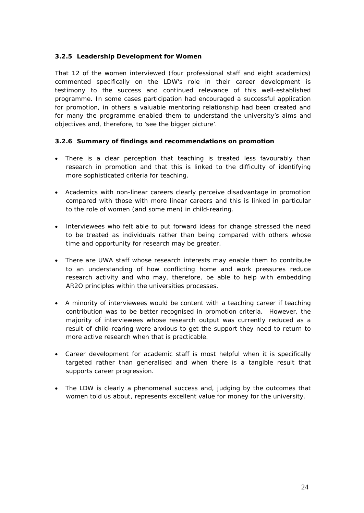#### **3.2.5 Leadership Development for Women**

That 12 of the women interviewed (four professional staff and eight academics) commented specifically on the LDW's role in their career development is testimony to the success and continued relevance of this well-established programme. In some cases participation had encouraged a successful application for promotion, in others a valuable mentoring relationship had been created and for many the programme enabled them to understand the university's aims and objectives and, therefore, to 'see the bigger picture'.

# **3.2.6 Summary of findings and recommendations on promotion**

- There is a clear perception that teaching is treated less favourably than research in promotion and that this is linked to the difficulty of identifying more sophisticated criteria for teaching.
- Academics with non-linear careers clearly perceive disadvantage in promotion compared with those with more linear careers and this is linked in particular to the role of women (and some men) in child-rearing.
- Interviewees who felt able to put forward ideas for change stressed the need to be treated as individuals rather than being compared with others whose time and opportunity for research may be greater.
- There are UWA staff whose research interests may enable them to contribute to an understanding of how conflicting home and work pressures reduce research activity and who may, therefore, be able to help with embedding AR2O principles within the universities processes.
- A minority of interviewees would be content with a teaching career if teaching contribution was to be better recognised in promotion criteria. However, the majority of interviewees whose research output was currently reduced as a result of child-rearing were anxious to get the support they need to return to more active research when that is practicable.
- Career development for academic staff is most helpful when it is specifically targeted rather than generalised and when there is a tangible result that supports career progression.
- The LDW is clearly a phenomenal success and, judging by the outcomes that women told us about, represents excellent value for money for the university.